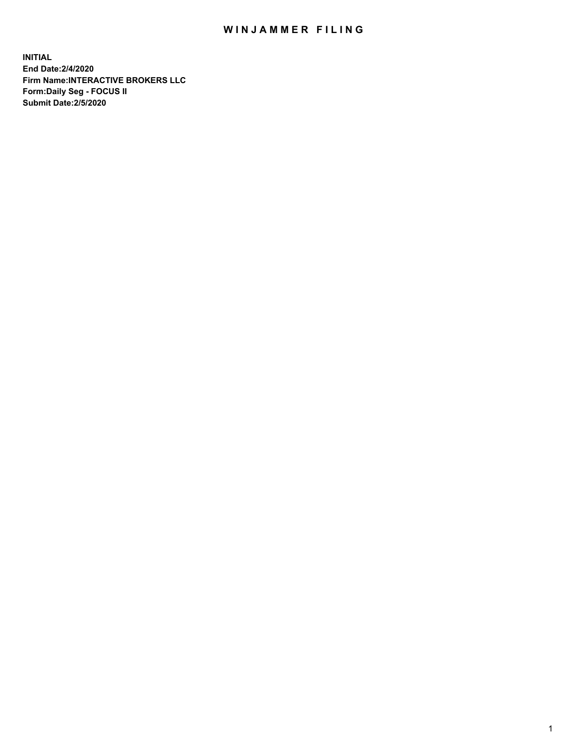## WIN JAMMER FILING

**INITIAL End Date:2/4/2020 Firm Name:INTERACTIVE BROKERS LLC Form:Daily Seg - FOCUS II Submit Date:2/5/2020**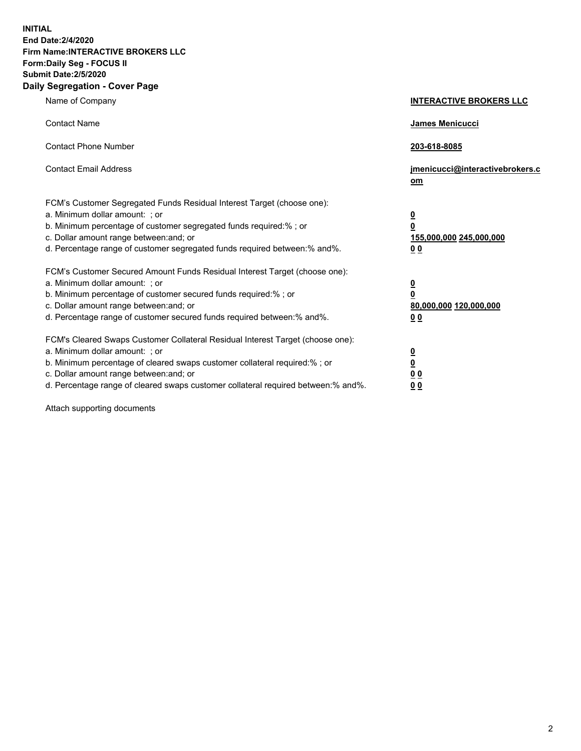**INITIAL End Date:2/4/2020 Firm Name:INTERACTIVE BROKERS LLC Form:Daily Seg - FOCUS II Submit Date:2/5/2020 Daily Segregation - Cover Page**

| Name of Company                                                                                                                                                                                                                                                                                                                | <b>INTERACTIVE BROKERS LLC</b>                                                                  |
|--------------------------------------------------------------------------------------------------------------------------------------------------------------------------------------------------------------------------------------------------------------------------------------------------------------------------------|-------------------------------------------------------------------------------------------------|
| <b>Contact Name</b>                                                                                                                                                                                                                                                                                                            | <b>James Menicucci</b>                                                                          |
| <b>Contact Phone Number</b>                                                                                                                                                                                                                                                                                                    | 203-618-8085                                                                                    |
| <b>Contact Email Address</b>                                                                                                                                                                                                                                                                                                   | jmenicucci@interactivebrokers.c<br>om                                                           |
| FCM's Customer Segregated Funds Residual Interest Target (choose one):<br>a. Minimum dollar amount: ; or<br>b. Minimum percentage of customer segregated funds required:% ; or<br>c. Dollar amount range between: and; or<br>d. Percentage range of customer segregated funds required between:% and%.                         | $\overline{\mathbf{0}}$<br>$\overline{\mathbf{0}}$<br>155,000,000 245,000,000<br>0 <sub>0</sub> |
| FCM's Customer Secured Amount Funds Residual Interest Target (choose one):<br>a. Minimum dollar amount: ; or<br>b. Minimum percentage of customer secured funds required:%; or<br>c. Dollar amount range between: and; or<br>d. Percentage range of customer secured funds required between:% and%.                            | $\frac{0}{0}$<br>80,000,000 120,000,000<br>0 <sub>0</sub>                                       |
| FCM's Cleared Swaps Customer Collateral Residual Interest Target (choose one):<br>a. Minimum dollar amount: ; or<br>b. Minimum percentage of cleared swaps customer collateral required:% ; or<br>c. Dollar amount range between: and; or<br>d. Percentage range of cleared swaps customer collateral required between:% and%. | $\frac{0}{0}$<br>0 <sub>0</sub><br>0 <sub>0</sub>                                               |

Attach supporting documents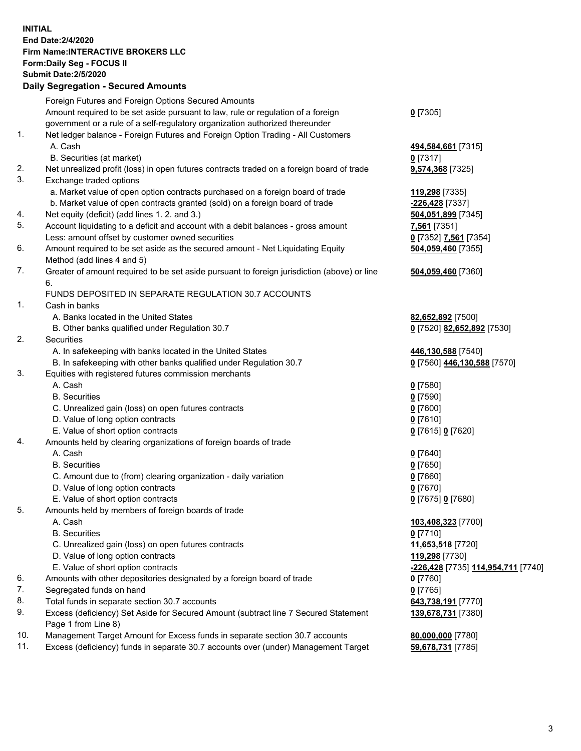## **INITIAL End Date:2/4/2020 Firm Name:INTERACTIVE BROKERS LLC Form:Daily Seg - FOCUS II Submit Date:2/5/2020 Daily Segregation - Secured Amounts**

|     | Daily Ocglegation - Occaled Allioants                                                                      |                                                 |
|-----|------------------------------------------------------------------------------------------------------------|-------------------------------------------------|
|     | Foreign Futures and Foreign Options Secured Amounts                                                        |                                                 |
|     | Amount required to be set aside pursuant to law, rule or regulation of a foreign                           | $0$ [7305]                                      |
|     | government or a rule of a self-regulatory organization authorized thereunder                               |                                                 |
| 1.  | Net ledger balance - Foreign Futures and Foreign Option Trading - All Customers                            |                                                 |
|     | A. Cash                                                                                                    | 494,584,661 [7315]                              |
|     | B. Securities (at market)                                                                                  | $0$ [7317]                                      |
| 2.  | Net unrealized profit (loss) in open futures contracts traded on a foreign board of trade                  | 9,574,368 [7325]                                |
| 3.  | Exchange traded options                                                                                    |                                                 |
|     | a. Market value of open option contracts purchased on a foreign board of trade                             | 119,298 [7335]                                  |
|     | b. Market value of open contracts granted (sold) on a foreign board of trade                               | -226,428 [7337]                                 |
| 4.  | Net equity (deficit) (add lines 1. 2. and 3.)                                                              | 504,051,899 [7345]                              |
| 5.  | Account liquidating to a deficit and account with a debit balances - gross amount                          | 7,561 [7351]                                    |
|     | Less: amount offset by customer owned securities                                                           | 0 [7352] 7.561 [7354]                           |
| 6.  | Amount required to be set aside as the secured amount - Net Liquidating Equity                             | 504,059,460 [7355]                              |
|     | Method (add lines 4 and 5)                                                                                 |                                                 |
| 7.  | Greater of amount required to be set aside pursuant to foreign jurisdiction (above) or line                | 504,059,460 [7360]                              |
|     | 6.                                                                                                         |                                                 |
|     | FUNDS DEPOSITED IN SEPARATE REGULATION 30.7 ACCOUNTS                                                       |                                                 |
| 1.  | Cash in banks                                                                                              |                                                 |
|     | A. Banks located in the United States                                                                      | 82,652,892 [7500]                               |
|     | B. Other banks qualified under Regulation 30.7                                                             | 0 [7520] 82,652,892 [7530]                      |
| 2.  | Securities                                                                                                 |                                                 |
|     | A. In safekeeping with banks located in the United States                                                  | 446,130,588 [7540]                              |
|     | B. In safekeeping with other banks qualified under Regulation 30.7                                         | 0 [7560] 446,130,588 [7570]                     |
| 3.  | Equities with registered futures commission merchants                                                      |                                                 |
|     | A. Cash                                                                                                    | $0$ [7580]                                      |
|     | <b>B.</b> Securities                                                                                       | $0$ [7590]                                      |
|     | C. Unrealized gain (loss) on open futures contracts                                                        | $0$ [7600]                                      |
|     | D. Value of long option contracts                                                                          | $0$ [7610]                                      |
|     | E. Value of short option contracts                                                                         | 0 [7615] 0 [7620]                               |
| 4.  | Amounts held by clearing organizations of foreign boards of trade                                          |                                                 |
|     | A. Cash                                                                                                    | $0$ [7640]                                      |
|     | <b>B.</b> Securities                                                                                       | $0$ [7650]                                      |
|     | C. Amount due to (from) clearing organization - daily variation                                            | $0$ [7660]                                      |
|     | D. Value of long option contracts                                                                          | $0$ [7670]                                      |
|     | E. Value of short option contracts                                                                         | 0 [7675] 0 [7680]                               |
| 5.  | Amounts held by members of foreign boards of trade                                                         |                                                 |
|     | A. Cash                                                                                                    | 103,408,323 [7700]                              |
|     | <b>B.</b> Securities                                                                                       | $0$ [7710]                                      |
|     | C. Unrealized gain (loss) on open futures contracts                                                        | 11,653,518 [7720]                               |
|     | D. Value of long option contracts                                                                          | 119,298 [7730]                                  |
|     | E. Value of short option contracts                                                                         | <mark>-226,428</mark> [7735] 114,954,711 [7740] |
| 6.  | Amounts with other depositories designated by a foreign board of trade                                     | 0 [7760]                                        |
| 7.  | Segregated funds on hand                                                                                   | $0$ [7765]                                      |
| 8.  | Total funds in separate section 30.7 accounts                                                              | 643,738,191 [7770]                              |
| 9.  | Excess (deficiency) Set Aside for Secured Amount (subtract line 7 Secured Statement<br>Page 1 from Line 8) | 139,678,731 [7380]                              |
| 10. | Management Target Amount for Excess funds in separate section 30.7 accounts                                | 80,000,000 [7780]                               |
| 11. | Excess (deficiency) funds in separate 30.7 accounts over (under) Management Target                         | 59,678,731 [7785]                               |
|     |                                                                                                            |                                                 |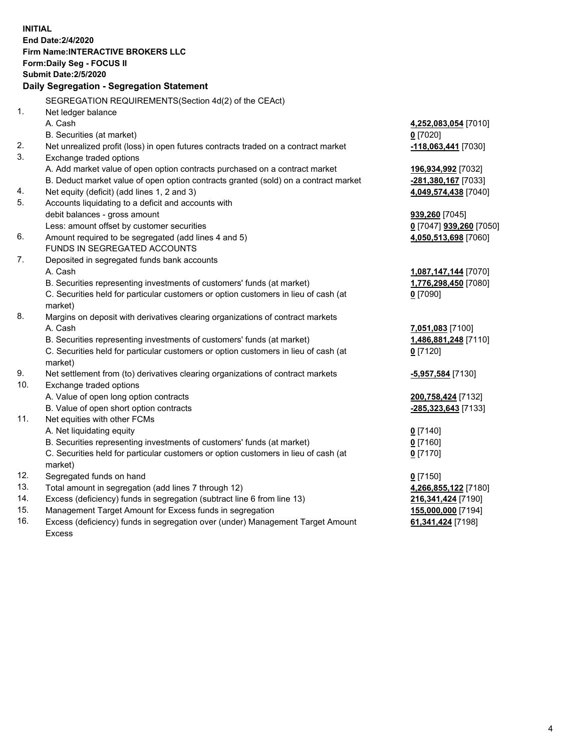**INITIAL End Date:2/4/2020 Firm Name:INTERACTIVE BROKERS LLC Form:Daily Seg - FOCUS II Submit Date:2/5/2020 Daily Segregation - Segregation Statement** SEGREGATION REQUIREMENTS(Section 4d(2) of the CEAct) 1. Net ledger balance A. Cash **4,252,083,054** [7010] B. Securities (at market) **0** [7020] 2. Net unrealized profit (loss) in open futures contracts traded on a contract market **-118,063,441** [7030] 3. Exchange traded options A. Add market value of open option contracts purchased on a contract market **196,934,992** [7032] B. Deduct market value of open option contracts granted (sold) on a contract market **-281,380,167** [7033] 4. Net equity (deficit) (add lines 1, 2 and 3) **4,049,574,438** [7040] 5. Accounts liquidating to a deficit and accounts with debit balances - gross amount **939,260** [7045] Less: amount offset by customer securities **0** [7047] **939,260** [7050] 6. Amount required to be segregated (add lines 4 and 5) **4,050,513,698** [7060] FUNDS IN SEGREGATED ACCOUNTS 7. Deposited in segregated funds bank accounts A. Cash **1,087,147,144** [7070] B. Securities representing investments of customers' funds (at market) **1,776,298,450** [7080] C. Securities held for particular customers or option customers in lieu of cash (at market) **0** [7090] 8. Margins on deposit with derivatives clearing organizations of contract markets A. Cash **7,051,083** [7100] B. Securities representing investments of customers' funds (at market) **1,486,881,248** [7110] C. Securities held for particular customers or option customers in lieu of cash (at market) **0** [7120] 9. Net settlement from (to) derivatives clearing organizations of contract markets **-5,957,584** [7130] 10. Exchange traded options A. Value of open long option contracts **200,758,424** [7132] B. Value of open short option contracts **-285,323,643** [7133] 11. Net equities with other FCMs A. Net liquidating equity **0** [7140] B. Securities representing investments of customers' funds (at market) **0** [7160] C. Securities held for particular customers or option customers in lieu of cash (at market) **0** [7170] 12. Segregated funds on hand **0** [7150] 13. Total amount in segregation (add lines 7 through 12) **4,266,855,122** [7180] 14. Excess (deficiency) funds in segregation (subtract line 6 from line 13) **216,341,424** [7190] 15. Management Target Amount for Excess funds in segregation **155,000,000** [7194] 16. Excess (deficiency) funds in segregation over (under) Management Target Amount **61,341,424** [7198]

Excess